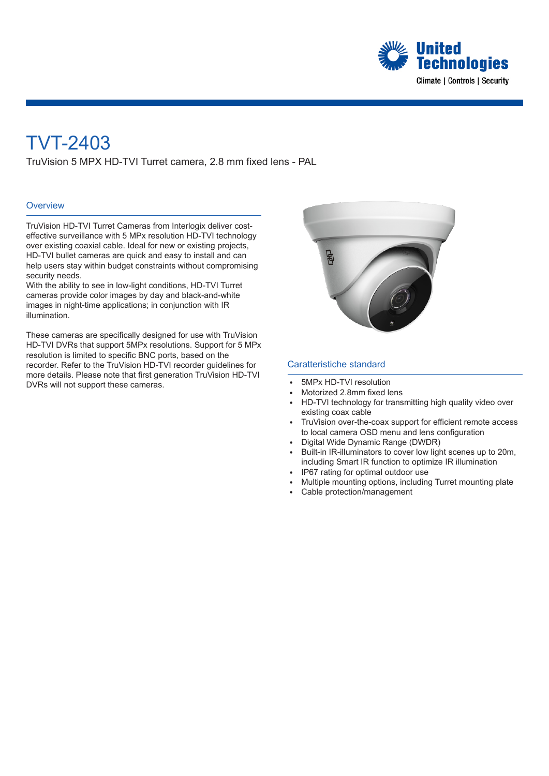

# TVT-2403

TruVision 5 MPX HD-TVI Turret camera, 2.8 mm fixed lens - PAL

### **Overview**

TruVision HD-TVI Turret Cameras from Interlogix deliver costeffective surveillance with 5 MPx resolution HD-TVI technology over existing coaxial cable. Ideal for new or existing projects, HD-TVI bullet cameras are quick and easy to install and can help users stay within budget constraints without compromising security needs.

With the ability to see in low-light conditions, HD-TVI Turret cameras provide color images by day and black-and-white images in night-time applications; in conjunction with IR illumination.

These cameras are specifically designed for use with TruVision HD-TVI DVRs that support 5MPx resolutions. Support for 5 MPx resolution is limited to specific BNC ports, based on the recorder. Refer to the TruVision HD-TVI recorder guidelines for more details. Please note that first generation TruVision HD-TVI DVRs will not support these cameras.



#### Caratteristiche standard

- <sup>E</sup> 5MPx HD-TVI resolution
- Motorized 2.8mm fixed lens
- HD-TVI technology for transmitting high quality video over existing coax cable
- TruVision over-the-coax support for efficient remote access to local camera OSD menu and lens configuration
- Digital Wide Dynamic Range (DWDR)
- Built-in IR-illuminators to cover low light scenes up to 20m, including Smart IR function to optimize IR illumination
- IP67 rating for optimal outdoor use
- <sup>E</sup> Multiple mounting options, including Turret mounting plate
- Cable protection/management